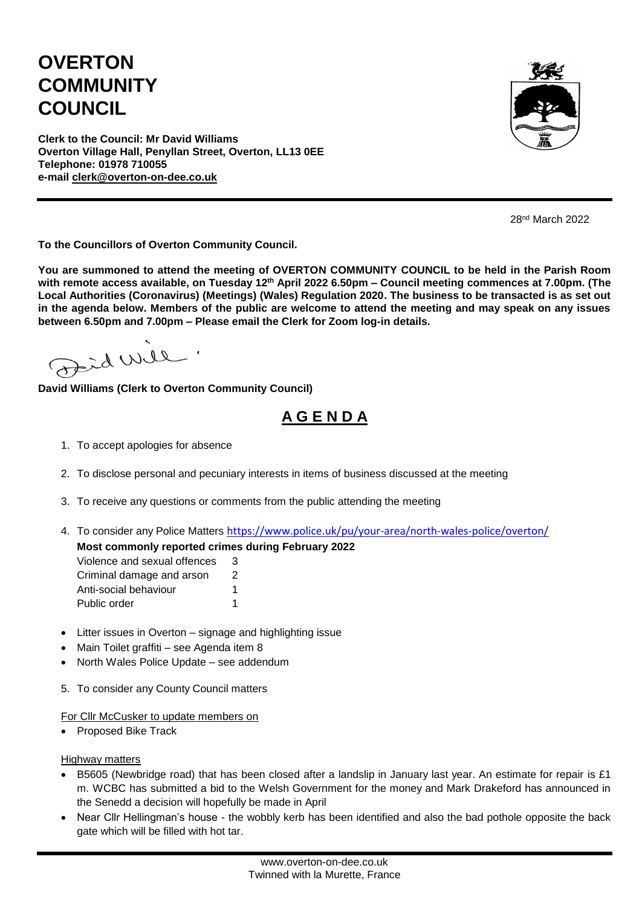## **OVERTON COMMUNITY COUNCIL**



**Clerk to the Council: Mr David Williams Overton Village Hall, Penyllan Street, Overton, LL13 0EE Telephone: 01978 710055 e-mail [clerk@overton-on-dee.co.uk](mailto:clerk@overton-on-dee.co.uk)**

28nd March 2022

**To the Councillors of Overton Community Council.**

**You are summoned to attend the meeting of OVERTON COMMUNITY COUNCIL to be held in the Parish Room with remote access available, on Tuesday 12 th April 2022 6.50pm – Council meeting commences at 7.00pm. (The Local Authorities (Coronavirus) (Meetings) (Wales) Regulation 2020. The business to be transacted is as set out in the agenda below. Members of the public are welcome to attend the meeting and may speak on any issues between 6.50pm and 7.00pm – Please email the Clerk for Zoom log-in details.**

erid will

**David Williams (Clerk to Overton Community Council)**

## **A G E N D A**

- 1. To accept apologies for absence
- 2. To disclose personal and pecuniary interests in items of business discussed at the meeting
- 3. To receive any questions or comments from the public attending the meeting
- 4. To consider any Police Matters <https://www.police.uk/pu/your-area/north-wales-police/overton/>

**Most commonly reported crimes during February 2022**

| Violence and sexual offences | 3 |
|------------------------------|---|
| Criminal damage and arson    | 2 |
| Anti-social behaviour        | 1 |
| Public order                 |   |

- Litter issues in Overton signage and highlighting issue
- Main Toilet graffiti see Agenda item 8
- North Wales Police Update see addendum
- 5. To consider any County Council matters

For Cllr McCusker to update members on

• Proposed Bike Track

**Highway matters** 

- B5605 (Newbridge road) that has been closed after a landslip in January last year. An estimate for repair is £1 m. WCBC has submitted a bid to the Welsh Government for the money and Mark Drakeford has announced in the Senedd a decision will hopefully be made in April
- Near Cllr Hellingman's house the wobbly kerb has been identified and also the bad pothole opposite the back gate which will be filled with hot tar.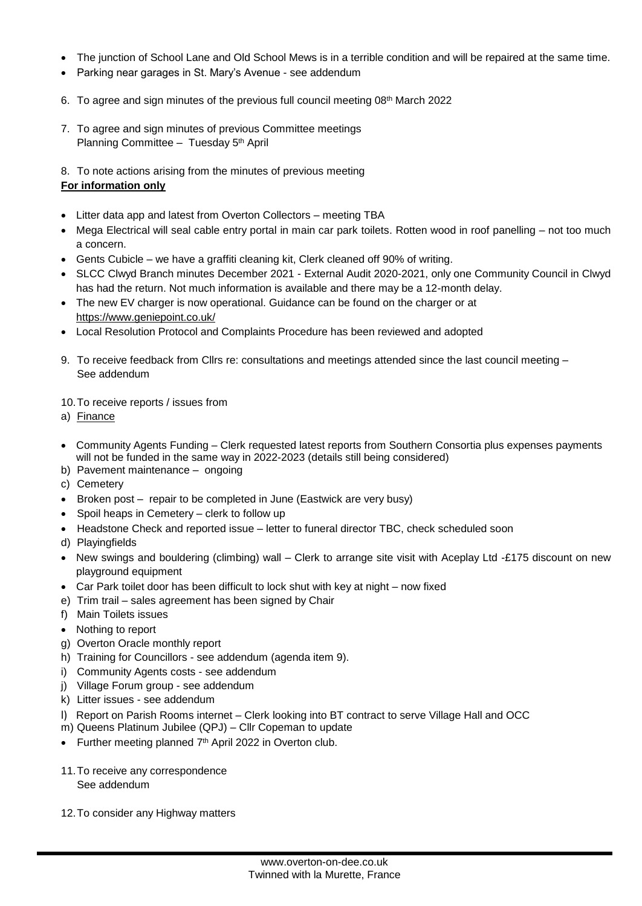- The junction of School Lane and Old School Mews is in a terrible condition and will be repaired at the same time.
- Parking near garages in St. Mary's Avenue see addendum
- 6. To agree and sign minutes of the previous full council meeting 08<sup>th</sup> March 2022
- 7. To agree and sign minutes of previous Committee meetings Planning Committee - Tuesday 5<sup>th</sup> April
- 8. To note actions arising from the minutes of previous meeting

## **For information only**

- Litter data app and latest from Overton Collectors meeting TBA
- Mega Electrical will seal cable entry portal in main car park toilets. Rotten wood in roof panelling not too much a concern.
- Gents Cubicle we have a graffiti cleaning kit, Clerk cleaned off 90% of writing.
- SLCC Clwyd Branch minutes December 2021 External Audit 2020-2021, only one Community Council in Clwyd has had the return. Not much information is available and there may be a 12-month delay.
- The new EV charger is now operational. Guidance can be found on the charger or at <https://www.geniepoint.co.uk/>
- Local Resolution Protocol and Complaints Procedure has been reviewed and adopted
- 9. To receive feedback from Cllrs re: consultations and meetings attended since the last council meeting See addendum

10.To receive reports / issues from

- a) Finance
- Community Agents Funding Clerk requested latest reports from Southern Consortia plus expenses payments will not be funded in the same way in 2022-2023 (details still being considered)
- b) Pavement maintenance ongoing
- c) Cemetery
- Broken post repair to be completed in June (Eastwick are very busy)
- Spoil heaps in Cemetery clerk to follow up
- Headstone Check and reported issue letter to funeral director TBC, check scheduled soon
- d) Playingfields
- New swings and bouldering (climbing) wall Clerk to arrange site visit with Aceplay Ltd -£175 discount on new playground equipment
- Car Park toilet door has been difficult to lock shut with key at night now fixed
- e) Trim trail sales agreement has been signed by Chair
- f) Main Toilets issues
- Nothing to report
- g) Overton Oracle monthly report
- h) Training for Councillors see addendum (agenda item 9).
- i) Community Agents costs see addendum
- j) Village Forum group see addendum
- k) Litter issues see addendum
- l) Report on Parish Rooms internet Clerk looking into BT contract to serve Village Hall and OCC
- m) Queens Platinum Jubilee (QPJ) Cllr Copeman to update
- Further meeting planned  $7<sup>th</sup>$  April 2022 in Overton club.
- 11.To receive any correspondence See addendum
- 12.To consider any Highway matters